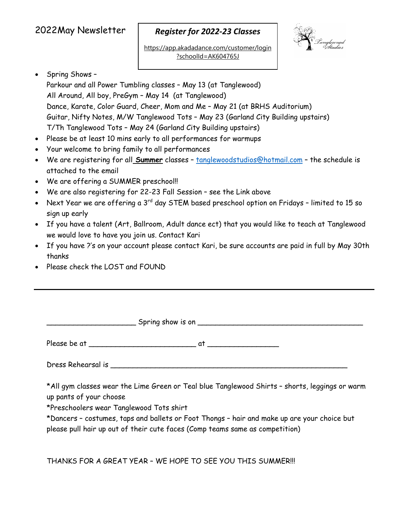# 2022May Newsletter

### *Register for 2022‐23 Classes*

https://app.akadadance.com/customer/login ?schoolId=AK604765J



### • Spring Shows -

Parkour and all Power Tumbling classes – May 13 (at Tanglewood) All Around, All boy, PreGym – May 14 (at Tanglewood) Dance, Karate, Color Guard, Cheer, Mom and Me – May 21 (at BRHS Auditorium) Guitar, Nifty Notes, M/W Tanglewood Tots – May 23 (Garland City Building upstairs) T/Th Tanglewood Tots – May 24 (Garland City Building upstairs)

- Please be at least 10 mins early to all performances for warmups
- Your welcome to bring family to all performances
- We are registering for all **Summer** classes tanglewoodstudios@hotmail.com the schedule is attached to the email
- We are offering a SUMMER preschool!!
- We are also registering for 22-23 Fall Session see the Link above
- Next Year we are offering a 3<sup>rd</sup> day STEM based preschool option on Fridays limited to 15 so sign up early
- If you have a talent (Art, Ballroom, Adult dance ect) that you would like to teach at Tanglewood we would love to have you join us. Contact Kari
- If you have ?'s on your account please contact Kari, be sure accounts are paid in full by May 30th thanks
- Please check the LOST and FOUND

|  | *All gym classes wear the Lime Green or Teal blue Tanglewood Shirts - shorts, leggings or warm |  |  |  |
|--|------------------------------------------------------------------------------------------------|--|--|--|

up pants of your choose

\*Preschoolers wear Tanglewood Tots shirt

\*Dancers – costumes, taps and ballets or Foot Thongs – hair and make up are your choice but please pull hair up out of their cute faces (Comp teams same as competition)

THANKS FOR A GREAT YEAR – WE HOPE TO SEE YOU THIS SUMMER!!!